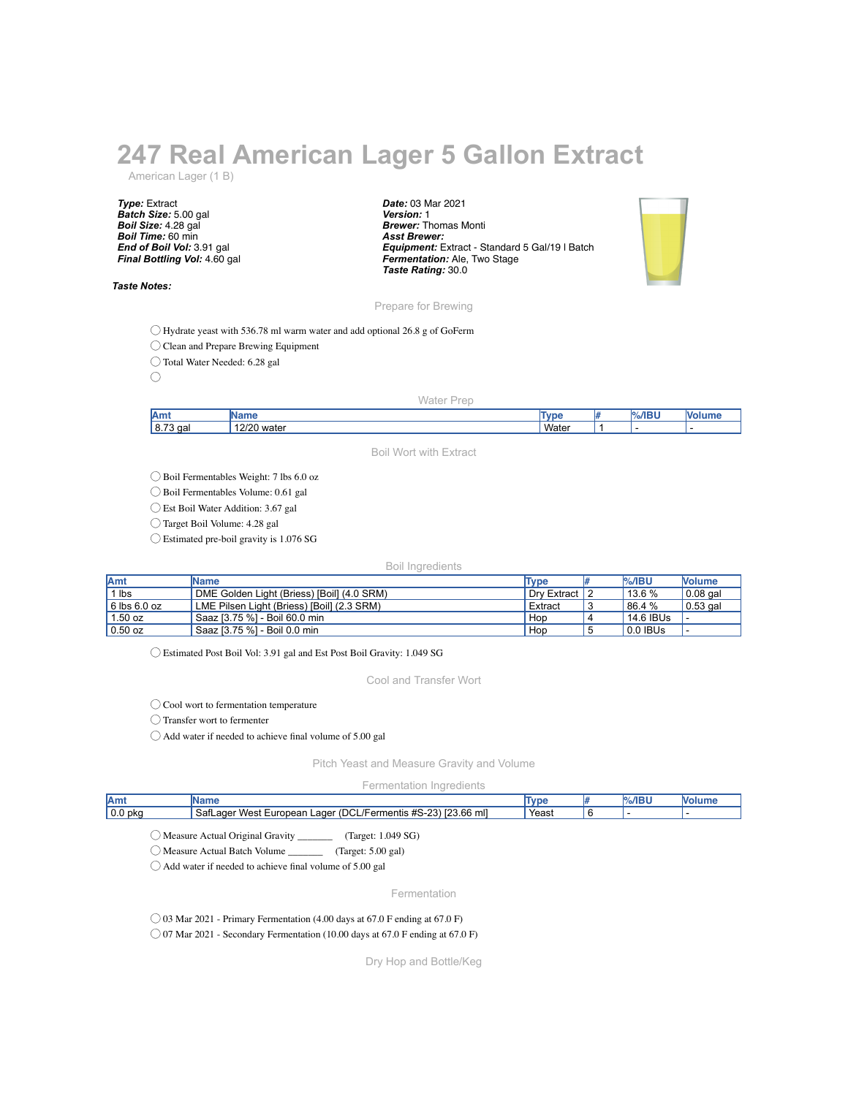## **247 Real American Lager 5 Gallon Extract**

American Lager (1 B)

*Type:* Extract *Batch Size:* 5.00 gal *Boil Size:* 4.28 gal *Boil Time:* 60 min *End of Boil Vol:* 3.91 gal *Final Bottling Vol:* 4.60 gal

## *Taste Notes:*

*Date:* 03 Mar 2021 *Version:* 1 *Brewer:* Thomas Monti *Asst Brewer: Equipment:* Extract - Standard 5 Gal/19 l Batch *Fermentation:* Ale, Two Stage *Taste Rating:* 30.0



Prepare for Brewing

◯ Hydrate yeast with 536.78 ml warm water and add optional 26.8 g of GoFerm

◯ Clean and Prepare Brewing Equipment

◯ Total Water Needed: 6.28 gal

 $\bigcirc$ 

## Water Prep

| <b>Amt</b>           |                                |      | -- |  |
|----------------------|--------------------------------|------|----|--|
| 8.73<br>$\sim$<br>ua | 1000<br>$\sim$<br>water<br>- - | Wate |    |  |

Boil Wort with Extract

◯ Boil Fermentables Weight: 7 lbs 6.0 oz

◯ Boil Fermentables Volume: 0.61 gal

◯ Est Boil Water Addition: 3.67 gal

◯ Target Boil Volume: 4.28 gal

 $\bigcirc$  Estimated pre-boil gravity is 1.076 SG

## Boil Ingredients

| <b>Amt</b>   | <b>IName</b>                               | Type        | $%$ /IBU  | <b>Nolume</b>    |
|--------------|--------------------------------------------|-------------|-----------|------------------|
| lbs          | DME Golden Light (Briess) [Boil] (4.0 SRM) | Drv Extract | $13.6\%$  | $\vert$ 0.08 gal |
| 6 lbs 6.0 oz | LME Pilsen Light (Briess) [Boil] (2.3 SRM) | Extract     | 86.4%     | $\vert$ 0.53 gal |
| $1.50$ oz    | Saaz [3.75 %] - Boil 60.0 min              | Hop         | 14.6 IBUs |                  |
| $0.50$ oz    | Saaz [3.75 %] - Boil 0.0 min               | Hop         | 0.0 IBUS  | . .              |

◯ Estimated Post Boil Vol: 3.91 gal and Est Post Boil Gravity: 1.049 SG

Cool and Transfer Wort

◯ Cool wort to fermentation temperature

◯ Transfer wort to fermenter

◯ Add water if needed to achieve final volume of 5.00 gal

Pitch Yeast and Measure Gravity and Volume

Fermentation Ingredients

| Amt                | ame                                                                                            | <b>VDE</b> | $\frac{1}{2}$ /IBI' |  |
|--------------------|------------------------------------------------------------------------------------------------|------------|---------------------|--|
| 0.0 <sub>pkq</sub> | roo oo<br>'DCL/Fermentis #S-23,<br>Safl<br>23.66 ml1<br>∵ West<br>aaer<br>. European<br>, ager | Yeast      |                     |  |
|                    |                                                                                                |            |                     |  |

◯ Measure Actual Original Gravity \_\_\_\_\_\_\_ (Target: 1.049 SG)

◯ Measure Actual Batch Volume \_\_\_\_\_\_\_ (Target: 5.00 gal)

◯ Add water if needed to achieve final volume of 5.00 gal

Fermentation

 $\bigcirc$  03 Mar 2021 - Primary Fermentation (4.00 days at 67.0 F ending at 67.0 F)

◯ 07 Mar 2021 - Secondary Fermentation (10.00 days at 67.0 F ending at 67.0 F)

Dry Hop and Bottle/Keg